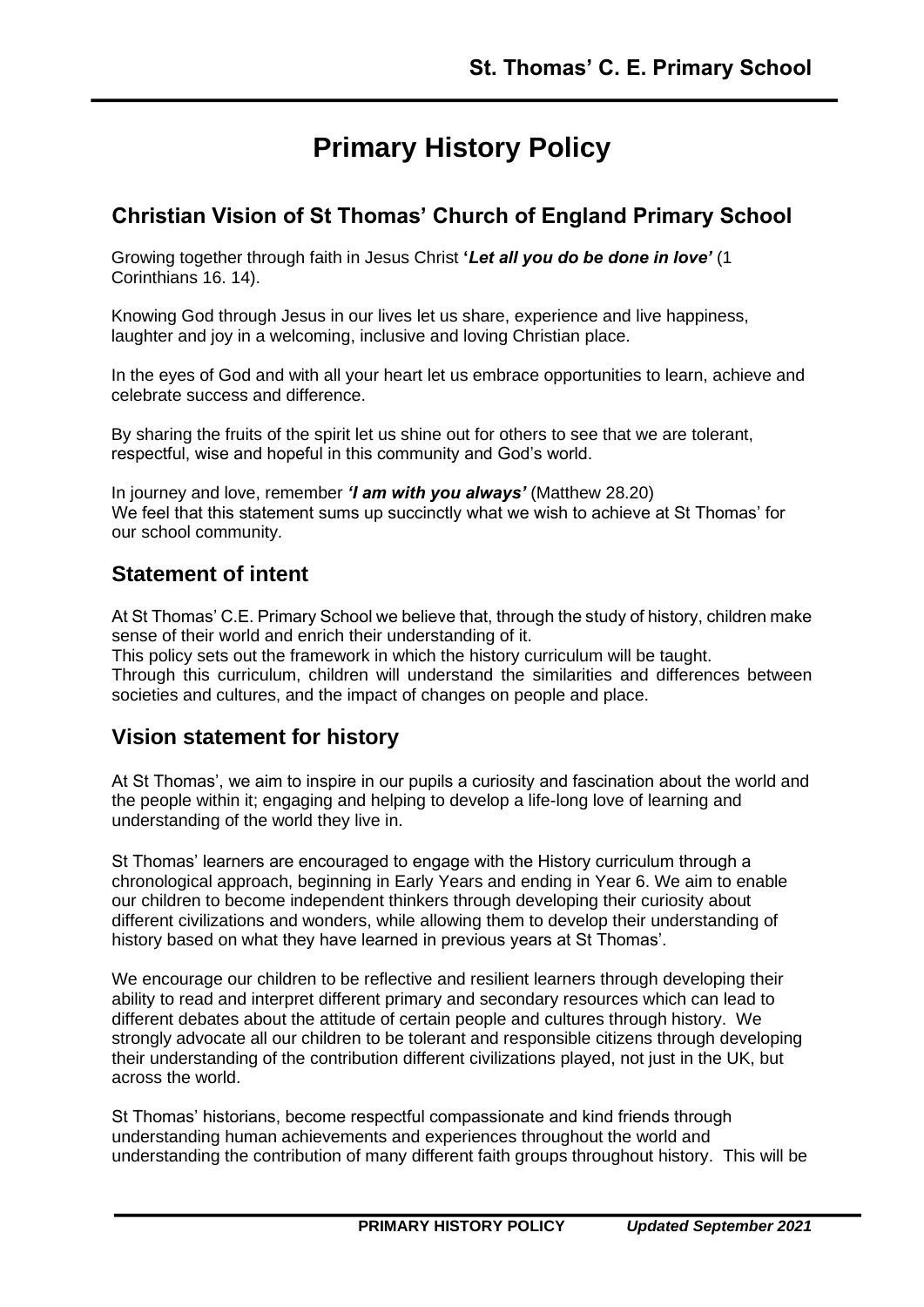# **Primary History Policy**

# **Christian Vision of St Thomas' Church of England Primary School**

Growing together through faith in Jesus Christ **'***Let all you do be done in love'* (1 Corinthians 16. 14).

Knowing God through Jesus in our lives let us share, experience and live happiness, laughter and joy in a welcoming, inclusive and loving Christian place.

In the eyes of God and with all your heart let us embrace opportunities to learn, achieve and celebrate success and difference.

By sharing the fruits of the spirit let us shine out for others to see that we are tolerant, respectful, wise and hopeful in this community and God's world.

In journey and love, remember *'I am with you always'* (Matthew 28.20) We feel that this statement sums up succinctly what we wish to achieve at St Thomas' for our school community.

# **Statement of intent**

At St Thomas' C.E. Primary School we believe that, through the study of history, children make sense of their world and enrich their understanding of it.

This policy sets out the framework in which the history curriculum will be taught. Through this curriculum, children will understand the similarities and differences between societies and cultures, and the impact of changes on people and place.

# **Vision statement for history**

At St Thomas', we aim to inspire in our pupils a curiosity and fascination about the world and the people within it; engaging and helping to develop a life-long love of learning and understanding of the world they live in.

St Thomas' learners are encouraged to engage with the History curriculum through a chronological approach, beginning in Early Years and ending in Year 6. We aim to enable our children to become independent thinkers through developing their curiosity about different civilizations and wonders, while allowing them to develop their understanding of history based on what they have learned in previous years at St Thomas'.

We encourage our children to be reflective and resilient learners through developing their ability to read and interpret different primary and secondary resources which can lead to different debates about the attitude of certain people and cultures through history. We strongly advocate all our children to be tolerant and responsible citizens through developing their understanding of the contribution different civilizations played, not just in the UK, but across the world.

St Thomas' historians, become respectful compassionate and kind friends through understanding human achievements and experiences throughout the world and understanding the contribution of many different faith groups throughout history. This will be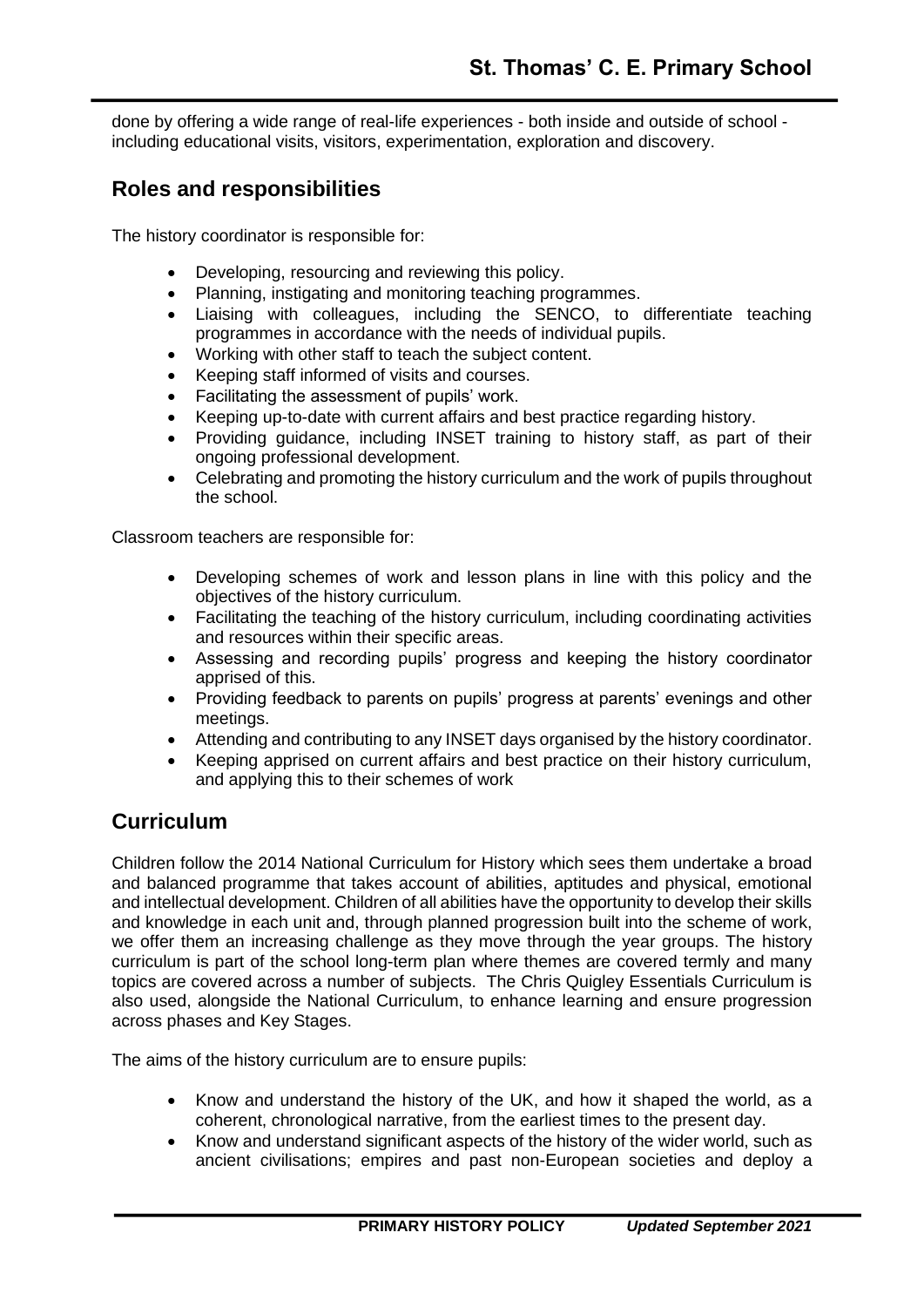done by offering a wide range of real-life experiences - both inside and outside of school including educational visits, visitors, experimentation, exploration and discovery.

# **Roles and responsibilities**

The history coordinator is responsible for:

- Developing, resourcing and reviewing this policy.
- Planning, instigating and monitoring teaching programmes.
- Liaising with colleagues, including the SENCO, to differentiate teaching programmes in accordance with the needs of individual pupils.
- Working with other staff to teach the subject content.
- Keeping staff informed of visits and courses.
- Facilitating the assessment of pupils' work.
- Keeping up-to-date with current affairs and best practice regarding history.
- Providing guidance, including INSET training to history staff, as part of their ongoing professional development.
- Celebrating and promoting the history curriculum and the work of pupils throughout the school.

Classroom teachers are responsible for:

- Developing schemes of work and lesson plans in line with this policy and the objectives of the history curriculum.
- Facilitating the teaching of the history curriculum, including coordinating activities and resources within their specific areas.
- Assessing and recording pupils' progress and keeping the history coordinator apprised of this.
- Providing feedback to parents on pupils' progress at parents' evenings and other meetings.
- Attending and contributing to any INSET days organised by the history coordinator.
- Keeping apprised on current affairs and best practice on their history curriculum, and applying this to their schemes of work

# **Curriculum**

Children follow the 2014 National Curriculum for History which sees them undertake a broad and balanced programme that takes account of abilities, aptitudes and physical, emotional and intellectual development. Children of all abilities have the opportunity to develop their skills and knowledge in each unit and, through planned progression built into the scheme of work, we offer them an increasing challenge as they move through the year groups. The history curriculum is part of the school long-term plan where themes are covered termly and many topics are covered across a number of subjects. The Chris Quigley Essentials Curriculum is also used, alongside the National Curriculum, to enhance learning and ensure progression across phases and Key Stages.

The aims of the history curriculum are to ensure pupils:

- Know and understand the history of the UK, and how it shaped the world, as a coherent, chronological narrative, from the earliest times to the present day.
- Know and understand significant aspects of the history of the wider world, such as ancient civilisations; empires and past non-European societies and deploy a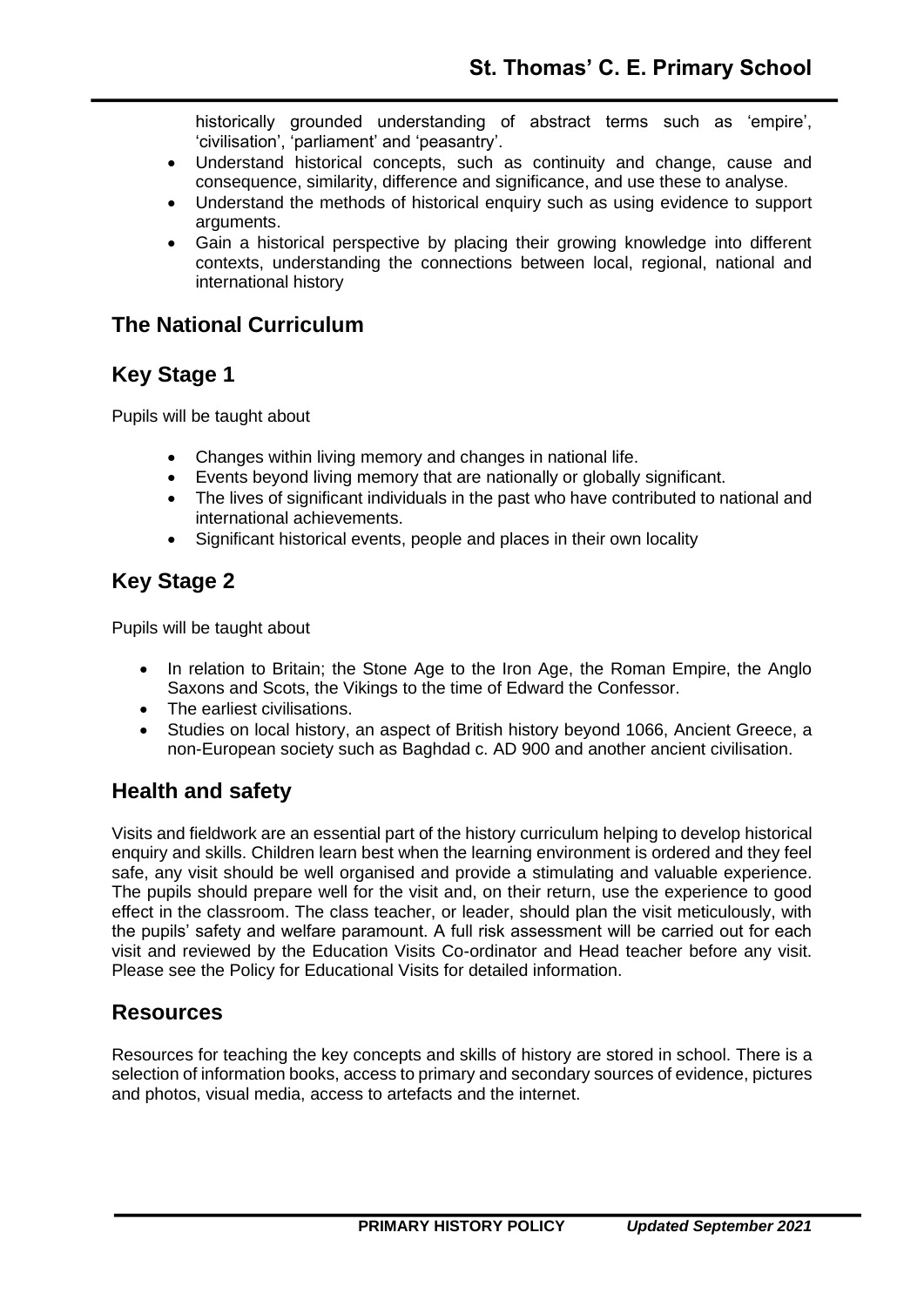historically grounded understanding of abstract terms such as 'empire', 'civilisation', 'parliament' and 'peasantry'.

- Understand historical concepts, such as continuity and change, cause and consequence, similarity, difference and significance, and use these to analyse.
- Understand the methods of historical enquiry such as using evidence to support arguments.
- Gain a historical perspective by placing their growing knowledge into different contexts, understanding the connections between local, regional, national and international history

#### **The National Curriculum**

# **Key Stage 1**

Pupils will be taught about

- Changes within living memory and changes in national life.
- Events beyond living memory that are nationally or globally significant.
- The lives of significant individuals in the past who have contributed to national and international achievements.
- Significant historical events, people and places in their own locality

# **Key Stage 2**

Pupils will be taught about

- In relation to Britain; the Stone Age to the Iron Age, the Roman Empire, the Anglo Saxons and Scots, the Vikings to the time of Edward the Confessor.
- The earliest civilisations.
- Studies on local history, an aspect of British history beyond 1066, Ancient Greece, a non-European society such as Baghdad c. AD 900 and another ancient civilisation.

#### **Health and safety**

Visits and fieldwork are an essential part of the history curriculum helping to develop historical enquiry and skills. Children learn best when the learning environment is ordered and they feel safe, any visit should be well organised and provide a stimulating and valuable experience. The pupils should prepare well for the visit and, on their return, use the experience to good effect in the classroom. The class teacher, or leader, should plan the visit meticulously, with the pupils' safety and welfare paramount. A full risk assessment will be carried out for each visit and reviewed by the Education Visits Co-ordinator and Head teacher before any visit. Please see the Policy for Educational Visits for detailed information.

#### **Resources**

Resources for teaching the key concepts and skills of history are stored in school. There is a selection of information books, access to primary and secondary sources of evidence, pictures and photos, visual media, access to artefacts and the internet.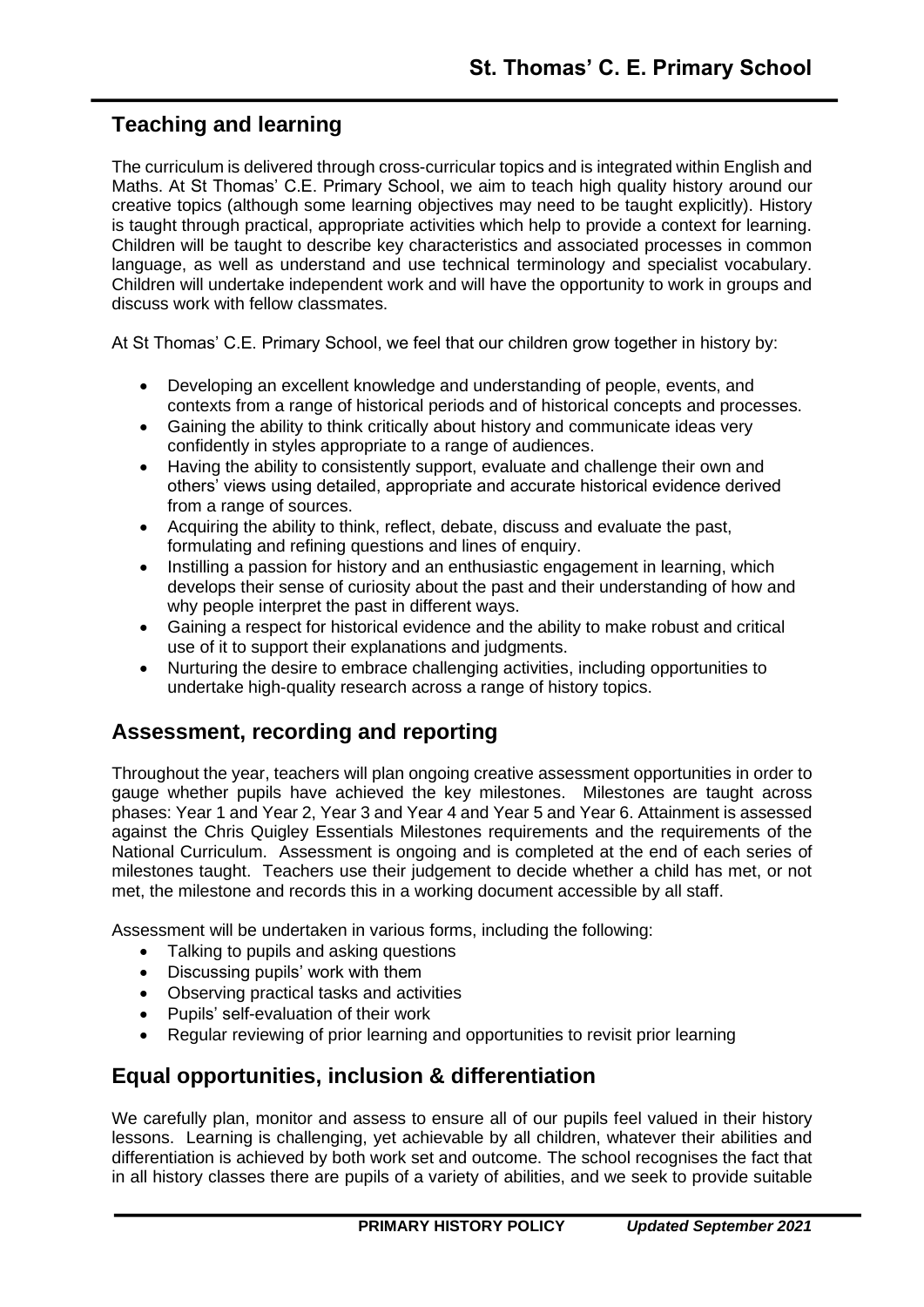# **Teaching and learning**

The curriculum is delivered through cross-curricular topics and is integrated within English and Maths. At St Thomas' C.E. Primary School, we aim to teach high quality history around our creative topics (although some learning objectives may need to be taught explicitly). History is taught through practical, appropriate activities which help to provide a context for learning. Children will be taught to describe key characteristics and associated processes in common language, as well as understand and use technical terminology and specialist vocabulary. Children will undertake independent work and will have the opportunity to work in groups and discuss work with fellow classmates.

At St Thomas' C.E. Primary School, we feel that our children grow together in history by:

- Developing an excellent knowledge and understanding of people, events, and contexts from a range of historical periods and of historical concepts and processes.
- Gaining the ability to think critically about history and communicate ideas very confidently in styles appropriate to a range of audiences.
- Having the ability to consistently support, evaluate and challenge their own and others' views using detailed, appropriate and accurate historical evidence derived from a range of sources.
- Acquiring the ability to think, reflect, debate, discuss and evaluate the past, formulating and refining questions and lines of enquiry.
- Instilling a passion for history and an enthusiastic engagement in learning, which develops their sense of curiosity about the past and their understanding of how and why people interpret the past in different ways.
- Gaining a respect for historical evidence and the ability to make robust and critical use of it to support their explanations and judgments.
- Nurturing the desire to embrace challenging activities, including opportunities to undertake high-quality research across a range of history topics.

# **Assessment, recording and reporting**

Throughout the year, teachers will plan ongoing creative assessment opportunities in order to gauge whether pupils have achieved the key milestones. Milestones are taught across phases: Year 1 and Year 2, Year 3 and Year 4 and Year 5 and Year 6. Attainment is assessed against the Chris Quigley Essentials Milestones requirements and the requirements of the National Curriculum. Assessment is ongoing and is completed at the end of each series of milestones taught. Teachers use their judgement to decide whether a child has met, or not met, the milestone and records this in a working document accessible by all staff.

Assessment will be undertaken in various forms, including the following:

- Talking to pupils and asking questions
- Discussing pupils' work with them
- Observing practical tasks and activities
- Pupils' self-evaluation of their work
- Regular reviewing of prior learning and opportunities to revisit prior learning

# **Equal opportunities, inclusion & differentiation**

We carefully plan, monitor and assess to ensure all of our pupils feel valued in their history lessons. Learning is challenging, yet achievable by all children, whatever their abilities and differentiation is achieved by both work set and outcome. The school recognises the fact that in all history classes there are pupils of a variety of abilities, and we seek to provide suitable